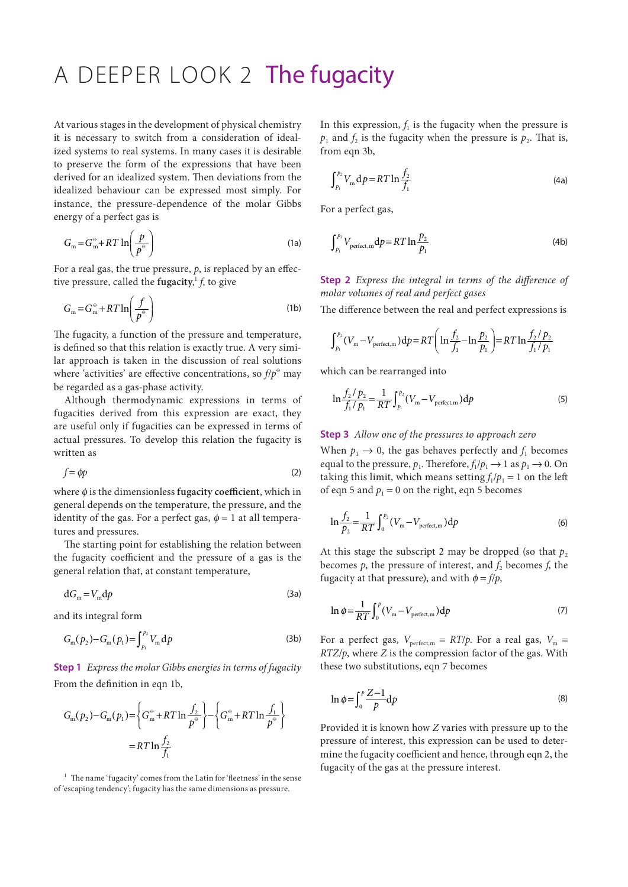## A DEEPER LOOK 2 The fugacity

At various stages in the development of physical chemistry it is necessary to switch from a consideration of idealized systems to real systems. In many cases it is desirable to preserve the form of the expressions that have been derived for an idealized system. Then deviations from the idealized behaviour can be expressed most simply. For instance, the pressure-dependence of the molar Gibbs energy of a perfect gas is

$$
G_{\rm m} = G_{\rm m}^{\circ} + RT \ln \left( \frac{p}{p^{\circ}} \right)
$$
 (1a)

For a real gas, the true pressure, *p*, is replaced by an effective pressure, called the **fugacity**, <sup>1</sup> *f*, to give

$$
G_{\rm m} = G_{\rm m}^{\circ} + RT \ln \left( \frac{f}{p^{\circ}} \right) \tag{1b}
$$

The fugacity, a function of the pressure and temperature, is defined so that this relation is exactly true. A very similar approach is taken in the discussion of real solutions where 'activities' are effective concentrations, so  $f/p^{\circ}$  may be regarded as a gas-phase activity.

Although thermodynamic expressions in terms of fugacities derived from this expression are exact, they are useful only if fugacities can be expressed in terms of actual pressures. To develop this relation the fugacity is written as

$$
f = \phi p \tag{2}
$$

where ϕ is the dimensionless **fugacity coefficient**, which in general depends on the temperature, the pressure, and the identity of the gas. For a perfect gas,  $\phi = 1$  at all temperatures and pressures.

The starting point for establishing the relation between the fugacity coefficient and the pressure of a gas is the general relation that, at constant temperature,

$$
dG_m = V_m dp \tag{3a}
$$

and its integral form

$$
G_{\rm m}(p_2) - G_{\rm m}(p_1) = \int_{p_1}^{p_2} V_{\rm m} \, \mathrm{d}p \tag{3b}
$$

**Step 1** *Express the molar Gibbs energies in terms of fugacity* From the definition in eqn 1b,

$$
G_{\rm m}(p_2) - G_{\rm m}(p_1) = \left\{ G_{\rm m}^{\circ} + RT \ln \frac{f_2}{p^{\circ}} \right\} - \left\{ G_{\rm m}^{\circ} + RT \ln \frac{f_1}{p^{\circ}} \right\}
$$

$$
= RT \ln \frac{f_2}{f_1}
$$

 $1$  The name 'fugacity' comes from the Latin for 'fleetness' in the sense of 'escaping tendency'; fugacity has the same dimensions as pressure.

In this expression,  $f_1$  is the fugacity when the pressure is  $p_1$  and  $f_2$  is the fugacity when the pressure is  $p_2$ . That is, from eqn 3b,

$$
\int_{p_1}^{p_2} V_{\rm m} \, \mathrm{d}p = RT \ln \frac{f_2}{f_1} \tag{4a}
$$

For a perfect gas,

$$
\int_{p_1}^{p_2} V_{\text{perfect,m}} \, \mathrm{d}p = RT \ln \frac{p_2}{p_1} \tag{4b}
$$

**Step 2** *Express the integral in terms of the difference of molar volumes of real and perfect gases*

The difference between the real and perfect expressions is

$$
\int_{p_1}^{p_2} (V_m - V_{\text{perfect,m}}) \, \mathrm{d}p = RT \bigg( \ln \frac{f_2}{f_1} - \ln \frac{p_2}{p_1} \bigg) = RT \ln \frac{f_2 / p_2}{f_1 / p_1}
$$

which can be rearranged into

$$
\ln \frac{f_2 / p_2}{f_1 / p_1} = \frac{1}{RT} \int_{p_1}^{p_2} (V_m - V_{\text{perfect,m}}) \, \mathrm{d}p \tag{5}
$$

## **Step 3** *Allow one of the pressures to approach zero*

When  $p_1 \rightarrow 0$ , the gas behaves perfectly and  $f_1$  becomes equal to the pressure,  $p_1$ . Therefore,  $f_1/p_1 \rightarrow 1$  as  $p_1 \rightarrow 0$ . On taking this limit, which means setting  $f_1/p_1 = 1$  on the left of eqn 5 and  $p_1 = 0$  on the right, eqn 5 becomes

$$
\ln \frac{f_2}{p_2} = \frac{1}{RT} \int_0^{p_2} (V_m - V_{\text{perfect,m}}) \, \mathrm{d}p \tag{6}
$$

At this stage the subscript 2 may be dropped (so that  $p_2$ ) becomes  $p$ , the pressure of interest, and  $f_2$  becomes  $f$ , the fugacity at that pressure), and with  $\phi = f/p$ ,

$$
\ln \phi = \frac{1}{RT} \int_0^p (V_m - V_{\text{perfect,m}}) \, \mathrm{d}p \tag{7}
$$

For a perfect gas,  $V_{\text{perfect,m}} = RT/p$ . For a real gas,  $V_{\text{m}} =$ *RTZ*/*p*, where *Z* is the compression factor of the gas. With these two substitutions, eqn 7 becomes

$$
\ln \phi = \int_0^p \frac{Z - 1}{p} \mathrm{d}p \tag{8}
$$

Provided it is known how *Z* varies with pressure up to the pressure of interest, this expression can be used to determine the fugacity coefficient and hence, through eqn 2, the fugacity of the gas at the pressure interest.